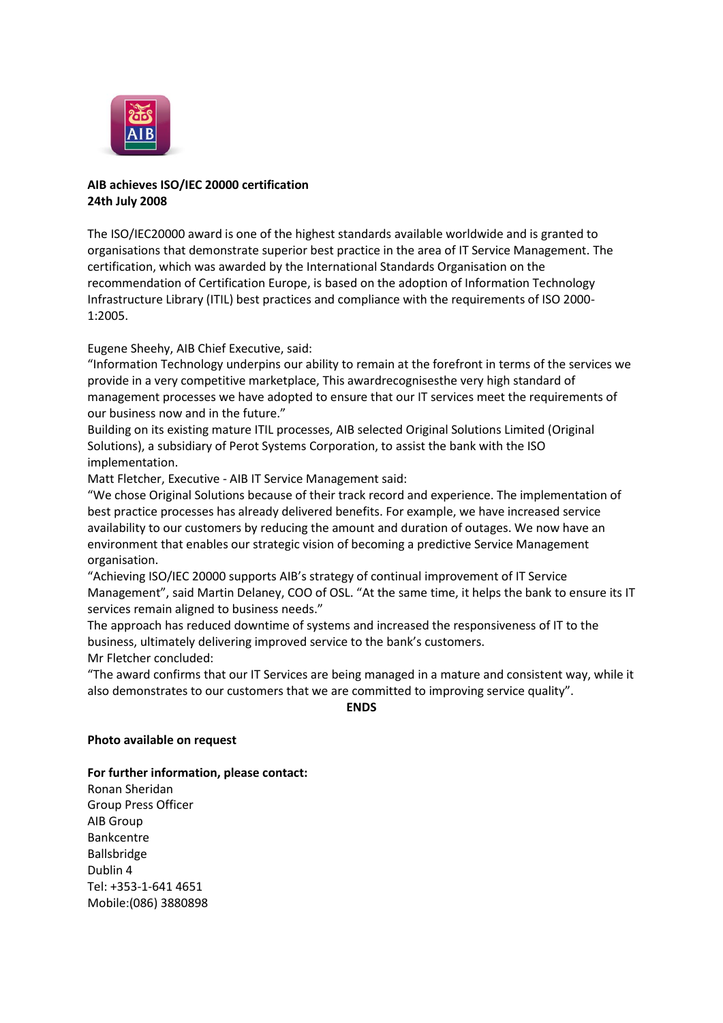

# **AIB achieves ISO/IEC 20000 certification 24th July 2008**

The ISO/IEC20000 award is one of the highest standards available worldwide and is granted to organisations that demonstrate superior best practice in the area of IT Service Management. The certification, which was awarded by the International Standards Organisation on the recommendation of Certification Europe, is based on the adoption of Information Technology Infrastructure Library (ITIL) best practices and compliance with the requirements of ISO 2000- 1:2005.

Eugene Sheehy, AIB Chief Executive, said:

"Information Technology underpins our ability to remain at the forefront in terms of the services we provide in a very competitive marketplace, This awardrecognisesthe very high standard of management processes we have adopted to ensure that our IT services meet the requirements of our business now and in the future."

Building on its existing mature ITIL processes, AIB selected Original Solutions Limited (Original Solutions), a subsidiary of Perot Systems Corporation, to assist the bank with the ISO implementation.

Matt Fletcher, Executive - AIB IT Service Management said:

"We chose Original Solutions because of their track record and experience. The implementation of best practice processes has already delivered benefits. For example, we have increased service availability to our customers by reducing the amount and duration of outages. We now have an environment that enables our strategic vision of becoming a predictive Service Management organisation.

"Achieving ISO/IEC 20000 supports AIB's strategy of continual improvement of IT Service Management", said Martin Delaney, COO of OSL. "At the same time, it helps the bank to ensure its IT services remain aligned to business needs."

The approach has reduced downtime of systems and increased the responsiveness of IT to the business, ultimately delivering improved service to the bank's customers. Mr Fletcher concluded:

"The award confirms that our IT Services are being managed in a mature and consistent way, while it also demonstrates to our customers that we are committed to improving service quality".

**ENDS**

### **Photo available on request**

### **For further information, please contact:**

Ronan Sheridan Group Press Officer AIB Group Bankcentre Ballsbridge Dublin 4 Tel: +353-1-641 4651 Mobile:(086) 3880898